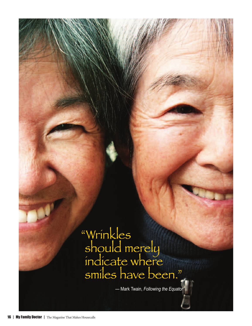

— Mark Twain, *Following the Equator*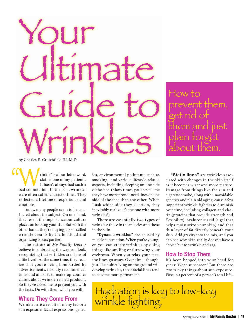# Your mate Guide to Wrinkles

How to prevent them, get rid of them and just plain forget about them.

by Charles E. Crutchfield III, M.D.

winkle" is a four-letter word,<br>claims one of my patients.<br>It hasn't always had such a<br>bad connotation. In the past, wrinkles<br>were often called character lines. They claims one of my patients. It hasn't always had such a bad connotation. In the past, wrinkles were often called character lines. They reflected a lifetime of experience and emotions. "<br>"<br>"

Today, many people seem to be conflicted about the subject. On one hand, they resent the importance our culture places on looking youthful. But with the other hand, they're buying up so-called wrinkle creams by the boatload and organizing Botox parties.

The editors at *My Family Doctor* believe in embracing the way you look, recognizing that wrinkles are signs of a life lived. At the same time, they realize that you're being bombarded by advertisements, friendly recommendations and all sorts of make-up-counter claims about wrinkle-related products. So they've asked me to present you with the facts. Do with them what you will.

#### **Where They Come From**

Wrinkles are a result of many factors: sun exposure, facial expressions, genetics, environmental pollutants such as smoking, and various lifestyle-related aspects, including sleeping on one side of the face. (Many times, patients tell me they have more pronounced lines on one side of the face than the other. When I ask which side they sleep on, they inevitably realize it's the one with more wrinkles!)

There are essentially two types of wrinkles: those in the muscles and those in the skin.

**"Dynamic wrinkles"** are caused by muscle contraction. When you're younger, you can create wrinkles by doing things like smiling or furrowing your eyebrows. When you relax your face, the lines go away. Over time, though, just like a shirt lying on the ground will develop wrinkles, those facial lines tend to become more permanent.

**"Static lines"** are wrinkles associated with changes in the skin itself as it becomes wiser and more mature. Damage from things like the sun and cigarette smoke, along with unavoidable genetics and plain old aging, cause a few important wrinkle fighters to diminish over time, including collagen and elastin (proteins that provide strength and flexibility), hyaluronic acid (a gel that helps moisturize your skin) and that thin layer of fat directly beneath your skin. Add gravity into the mix, and you can see why skin really doesn't have a choice but to wrinkle and sag.

#### **How to Stop Them**

It's been banged into your head for years: Wear sunscreen! But there are two tricky things about sun exposure. First, 80 percent of a person's total life-

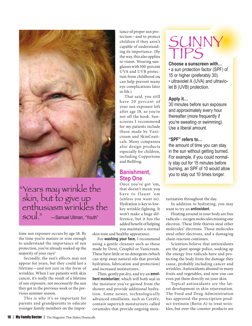

#### "Years may wrinkle the skin, but to give up enthusiasm wrinkles the soul." —Samuel Ullman, "Youth"

time sun exposure occurs by age 18. By the time you're mature or wise enough to understand the importance of sun protection, you've already soaked up the majority of your rays!

Secondly, the sun's effects may not appear for years, but they could last a lifetime—and not just in the form of wrinkles. When I see patients with skin cancer, it's really the result of a lifetime of sun exposure, not necessarily the sun they got in the previous week or the previous summer season.

This is why it's so important for parents and grandparents to educate younger family members on the importance of proper sun protection—and to protect tection—and to children if they aren't children if they capable of understand-capable of ing its importance. (By the way, this also applies to vision. Wearing sun-to vision. Wearing glasses with 100-percent UVA and UVB protec-UVA and UVB tion from childhood on can help prevent many eye complications later in life.)

That said, you still That said, you have 20 percent of your sun exposure left your sun exposure after age 18, so you're not off the hook. Sun-not off the hook. screens I recommend for my patients include for my patients those made by Vani-those made by cream and SkinCeuti-cream and cals. Many companies cals. Many also design products also design especially for children, especially for including Coppertone including and Bullfrog. Fraction Contains and Bulling Contains and Bulling Coppertuncy of the same of the same of the same of the same of the same of the same of the same of the same of the same of the same of the same of the same of the same of

#### **Banishment, Step One**

Once you've got 'em, Once you've got that doesn't mean you have to flaunt 'em (unless you want to). Hydration is key to lowkey wrinkle fighting. It won't make a huge difference, but it has the added benefit of helping you maintain a normal

skin tone and healthy appearance.

For **washing your face**, I recommend using a gentle cleanser such as those made by Dove, Cetaphil or Vanicream. These have little or no detergents (which can strip away natural oils that provide hydration, lubrication and protection) and increased moisturizers.

Then, gently pat dry, and try an **emollient moisturizer**, which will both seal in the moisture you've gained from the shower and provide additional hydration. Some newer, technologically advanced emollients, such as CeraVe, contain superrich moisturizers called ceramides that provide ongoing mois-

## SUNNY

#### Choose a sunscreen with...

• a sun protection factor (SPF) of 15 or higher (preferably 30). • ultraviolet A (UVA) and ultraviolet B (UVB) protection.

#### **Apply it…**

30 minutes before sun exposure and approximately every hour thereafter (more frequently if you're sweating or swimming). Use a liberal amount.

#### **"SPF" refers to…**

the amount of time you can stay in the sun without getting burned. For example, if you could normally stay out for 15 minutes before burning, an SPF of 10 would allow you to stay out 10 times longer.

turization throughout the day.

In addition to hydrating, you may want to try an **antioxidant**.

Floating around in your body are free radicals—oxygen molecules missing one electron. These little thieves steal other molecules' electrons. Those molecules steal other electrons, and a damaging chain reaction continues.

Scientists believe that antioxidants are the giant sponge police, soaking up the energy free radicals have and protecting the body from the damage they cause, probably including cancer and wrinkles. Antioxidants abound in many fruits and vegetables, and now you can even put them directly on your skin.

Topical antioxidants are the latest development in skin rejuvenation. The Food and Drug Administration has approved the prescription product tretinoin (Retin-A) to treat wrinkles, but over-the-counter products are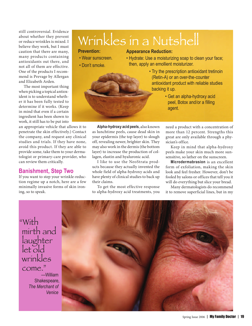still controversial. Evidence about whether they prevent or reduce wrinkles is mixed. I believe they work, but I must caution that there are many, many products containing antioxidants out there, and not all of them are effective. One of the products I recommend is Prevage by Allergan and Elizabeth Arden.

The most important thing when picking a topical antioxident is to understand whether it has been fully tested to determine if it works. (Keep in mind that even if a certain ingredient has been shown to work, it still has to be put into

an appropriate vehicle that allows it to penetrate the skin effectively.) Contact the company, and request any clinical studies and trials. If they have none, avoid this product. If they are able to provide some, take them to your dermatologist or primary-care provider, who can review them critically.

#### **Banishment, Step Two**

If you want to step your wrinkle-reduction regime up a notch, here are a few minimally invasive forms of skin ironing, so to speak.

### Wrinkles in a Nutshell

#### **Prevention:**

#### **Appearance Reduction:**

- Wear sunscreen. • Don't smoke.
- Hydrate: Use a moisturizing soap to clean your face; then, apply an emollient moisturizer.
	- Try the prescription antioxidant tretinoin (Retin-A) or an over-the-counter antioxidant product with reliable studies backing it up.
		- Get an alpha-hydroxy acid peel, Botox and/or a filling agent.

**Alpha-hydroxy acid peels**, also known as lunchtime peels, cause dead skin in your epidermis (the top layer) to slough off, revealing newer, brighter skin. They may also work in the dermis (the bottom layer) to increase the production of collagen, elastin and hyaluronic acid.

I like to use the NeoStrata products because they actually invented the whole field of alpha-hydroxy acids and have plenty of clinical studies to back up their claims.

To get the most effective response to alpha-hydroxy acid treatments, you

need a product with a concentration of more than 12 percent. Strengths this great are only available through a physician's office.

Keep in mind that alpha-hydroxy peels make your skin much more sunsensitive, so lather on the sunscreen.

**Microdermabrasion** is an excellent form of exfoliation, making the skin look and feel fresher. However, don't be fooled by salons or offices that tell you it will do everything but slice your bread.

Many dermatologists do recommend it to remove superficial lines, but in my